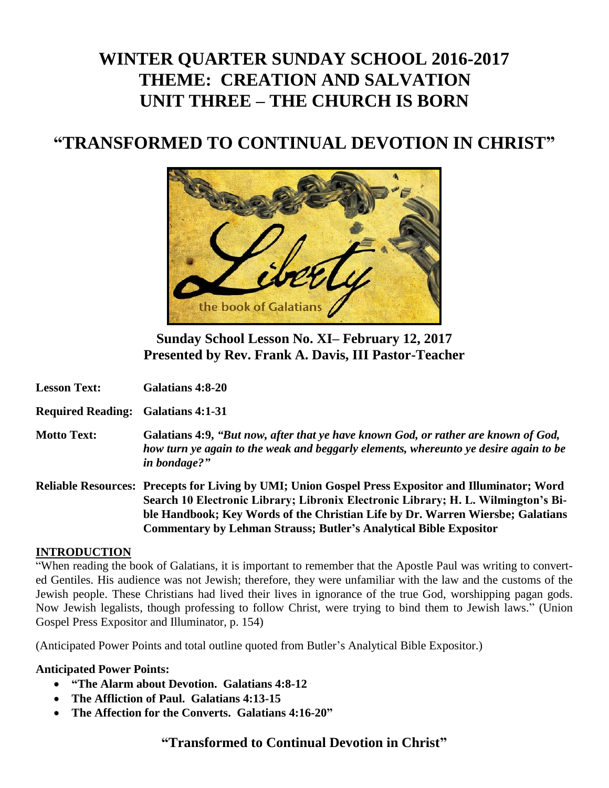# **WINTER QUARTER SUNDAY SCHOOL 2016-2017 THEME: CREATION AND SALVATION UNIT THREE – THE CHURCH IS BORN**

# **"TRANSFORMED TO CONTINUAL DEVOTION IN CHRIST"**



**Sunday School Lesson No. XI– February 12, 2017 Presented by Rev. Frank A. Davis, III Pastor-Teacher**

**Lesson Text: Galatians 4:8-20**

**Required Reading: Galatians 4:1-31**

**Motto Text: Galatians 4:9,** *"But now, after that ye have known God, or rather are known of God, how turn ye again to the weak and beggarly elements, whereunto ye desire again to be in bondage?"*

**Reliable Resources: Precepts for Living by UMI; Union Gospel Press Expositor and Illuminator; Word Search 10 Electronic Library; Libronix Electronic Library; H. L. Wilmington's Bible Handbook; Key Words of the Christian Life by Dr. Warren Wiersbe; Galatians Commentary by Lehman Strauss; Butler's Analytical Bible Expositor**

#### **INTRODUCTION**

"When reading the book of Galatians, it is important to remember that the Apostle Paul was writing to converted Gentiles. His audience was not Jewish; therefore, they were unfamiliar with the law and the customs of the Jewish people. These Christians had lived their lives in ignorance of the true God, worshipping pagan gods. Now Jewish legalists, though professing to follow Christ, were trying to bind them to Jewish laws." (Union Gospel Press Expositor and Illuminator, p. 154)

(Anticipated Power Points and total outline quoted from Butler's Analytical Bible Expositor.)

### **Anticipated Power Points:**

- **"The Alarm about Devotion. Galatians 4:8-12**
- **The Affliction of Paul. Galatians 4:13-15**
- **The Affection for the Converts. Galatians 4:16-20"**

## **"Transformed to Continual Devotion in Christ"**